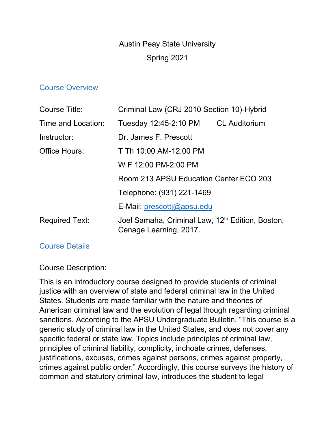# Austin Peay State University Spring 2021

#### Course Overview

| Course Title:         | Criminal Law (CRJ 2010 Section 10)-Hybrid                                              |  |
|-----------------------|----------------------------------------------------------------------------------------|--|
| Time and Location:    | Tuesday 12:45-2:10 PM CL Auditorium                                                    |  |
| Instructor:           | Dr. James F. Prescott                                                                  |  |
| Office Hours:         | T Th 10:00 AM-12:00 PM                                                                 |  |
|                       | W F 12:00 PM-2:00 PM                                                                   |  |
|                       | Room 213 APSU Education Center ECO 203                                                 |  |
|                       | Telephone: (931) 221-1469                                                              |  |
|                       | E-Mail: prescotti@apsu.edu                                                             |  |
| <b>Required Text:</b> | Joel Samaha, Criminal Law, 12 <sup>th</sup> Edition, Boston,<br>Cenage Learning, 2017. |  |

## Course Details

#### Course Description:

This is an introductory course designed to provide students of criminal justice with an overview of state and federal criminal law in the United States. Students are made familiar with the nature and theories of American criminal law and the evolution of legal though regarding criminal sanctions. According to the APSU Undergraduate Bulletin, "This course is a generic study of criminal law in the United States, and does not cover any specific federal or state law. Topics include principles of criminal law, principles of criminal liability, complicity, inchoate crimes, defenses, justifications, excuses, crimes against persons, crimes against property, crimes against public order." Accordingly, this course surveys the history of common and statutory criminal law, introduces the student to legal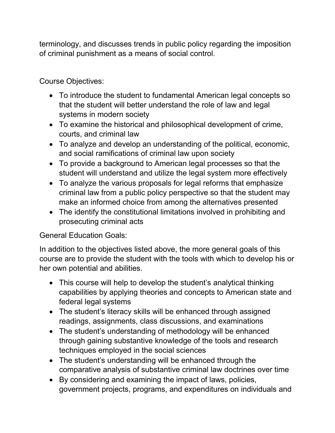terminology, and discusses trends in public policy regarding the imposition of criminal punishment as a means of social control.

Course Objectives:

- To introduce the student to fundamental American legal concepts so that the student will better understand the role of law and legal systems in modern society
- To examine the historical and philosophical development of crime, courts, and criminal law
- To analyze and develop an understanding of the political, economic, and social ramifications of criminal law upon society
- To provide a background to American legal processes so that the student will understand and utilize the legal system more effectively
- To analyze the various proposals for legal reforms that emphasize criminal law from a public policy perspective so that the student may make an informed choice from among the alternatives presented
- The identify the constitutional limitations involved in prohibiting and prosecuting criminal acts

General Education Goals:

In addition to the objectives listed above, the more general goals of this course are to provide the student with the tools with which to develop his or her own potential and abilities.

- This course will help to develop the student's analytical thinking capabilities by applying theories and concepts to American state and federal legal systems
- The student's literacy skills will be enhanced through assigned readings, assignments, class discussions, and examinations
- The student's understanding of methodology will be enhanced through gaining substantive knowledge of the tools and research techniques employed in the social sciences
- The student's understanding will be enhanced through the comparative analysis of substantive criminal law doctrines over time
- By considering and examining the impact of laws, policies, government projects, programs, and expenditures on individuals and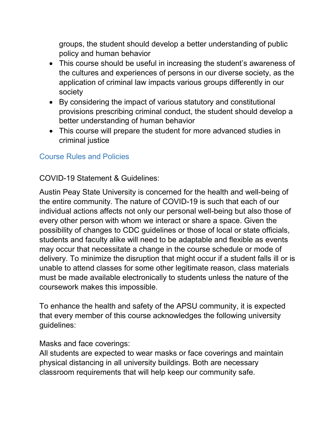groups, the student should develop a better understanding of public policy and human behavior

- This course should be useful in increasing the student's awareness of the cultures and experiences of persons in our diverse society, as the application of criminal law impacts various groups differently in our society
- By considering the impact of various statutory and constitutional provisions prescribing criminal conduct, the student should develop a better understanding of human behavior
- This course will prepare the student for more advanced studies in criminal justice

# Course Rules and Policies

## COVID-19 Statement & Guidelines:

Austin Peay State University is concerned for the health and well-being of the entire community. The nature of COVID-19 is such that each of our individual actions affects not only our personal well-being but also those of every other person with whom we interact or share a space. Given the possibility of changes to CDC guidelines or those of local or state officials, students and faculty alike will need to be adaptable and flexible as events may occur that necessitate a change in the course schedule or mode of delivery. To minimize the disruption that might occur if a student falls ill or is unable to attend classes for some other legitimate reason, class materials must be made available electronically to students unless the nature of the coursework makes this impossible.

To enhance the health and safety of the APSU community, it is expected that every member of this course acknowledges the following university guidelines:

## Masks and face coverings:

All students are expected to wear masks or face coverings and maintain physical distancing in all university buildings. Both are necessary classroom requirements that will help keep our community safe.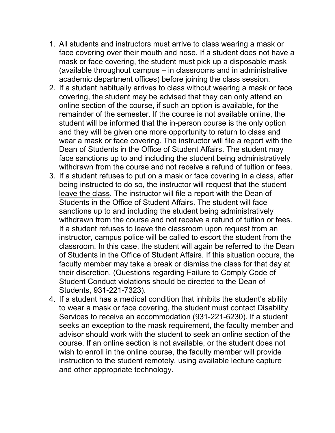- 1. All students and instructors must arrive to class wearing a mask or face covering over their mouth and nose. If a student does not have a mask or face covering, the student must pick up a disposable mask (available throughout campus – in classrooms and in administrative academic department offices) before joining the class session.
- 2. If a student habitually arrives to class without wearing a mask or face covering, the student may be advised that they can only attend an online section of the course, if such an option is available, for the remainder of the semester. If the course is not available online, the student will be informed that the in-person course is the only option and they will be given one more opportunity to return to class and wear a mask or face covering. The instructor will file a report with the Dean of Students in the Office of Student Affairs. The student may face sanctions up to and including the student being administratively withdrawn from the course and not receive a refund of tuition or fees.
- 3. If a student refuses to put on a mask or face covering in a class, after being instructed to do so, the instructor will request that the student leave the class. The instructor will file a report with the Dean of Students in the Office of Student Affairs. The student will face sanctions up to and including the student being administratively withdrawn from the course and not receive a refund of tuition or fees. If a student refuses to leave the classroom upon request from an instructor, campus police will be called to escort the student from the classroom. In this case, the student will again be referred to the Dean of Students in the Office of Student Affairs. If this situation occurs, the faculty member may take a break or dismiss the class for that day at their discretion. (Questions regarding Failure to Comply Code of Student Conduct violations should be directed to the Dean of Students, 931-221-7323).
- 4. If a student has a medical condition that inhibits the student's ability to wear a mask or face covering, the student must contact Disability Services to receive an accommodation (931-221-6230). If a student seeks an exception to the mask requirement, the faculty member and advisor should work with the student to seek an online section of the course. If an online section is not available, or the student does not wish to enroll in the online course, the faculty member will provide instruction to the student remotely, using available lecture capture and other appropriate technology.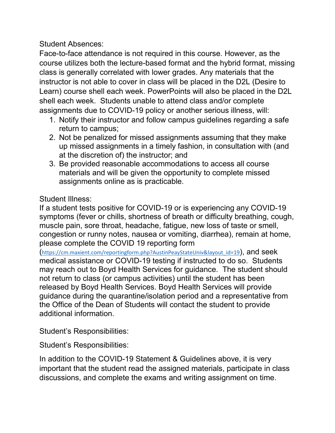Student Absences:

Face-to-face attendance is not required in this course. However, as the course utilizes both the lecture-based format and the hybrid format, missing class is generally correlated with lower grades. Any materials that the instructor is not able to cover in class will be placed in the D2L (Desire to Learn) course shell each week. PowerPoints will also be placed in the D2L shell each week. Students unable to attend class and/or complete assignments due to COVID-19 policy or another serious illness, will:

- 1. Notify their instructor and follow campus guidelines regarding a safe return to campus;
- 2. Not be penalized for missed assignments assuming that they make up missed assignments in a timely fashion, in consultation with (and at the discretion of) the instructor; and
- 3. Be provided reasonable accommodations to access all course materials and will be given the opportunity to complete missed assignments online as is practicable.

# Student Illness:

If a student tests positive for COVID-19 or is experiencing any COVID-19 symptoms (fever or chills, shortness of breath or difficulty breathing, cough, muscle pain, sore throat, headache, fatigue, new loss of taste or smell, congestion or runny notes, nausea or vomiting, diarrhea), remain at home, please complete the COVID 19 reporting form

 $(\text{https://cm.maxient.com/reportingform.php?AustinPeayStateUnixlayout_id=19})$ , and seek medical assistance or COVID-19 testing if instructed to do so. Students may reach out to Boyd Health Services for guidance. The student should not return to class (or campus activities) until the student has been released by Boyd Health Services. Boyd Health Services will provide guidance during the quarantine/isolation period and a representative from the Office of the Dean of Students will contact the student to provide additional information.

Student's Responsibilities:

Student's Responsibilities:

In addition to the COVID-19 Statement & Guidelines above, it is very important that the student read the assigned materials, participate in class discussions, and complete the exams and writing assignment on time.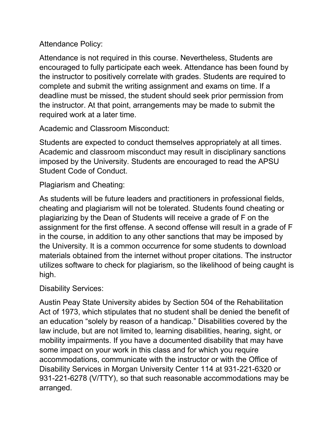Attendance Policy:

Attendance is not required in this course. Nevertheless, Students are encouraged to fully participate each week. Attendance has been found by the instructor to positively correlate with grades. Students are required to complete and submit the writing assignment and exams on time. If a deadline must be missed, the student should seek prior permission from the instructor. At that point, arrangements may be made to submit the required work at a later time.

Academic and Classroom Misconduct:

Students are expected to conduct themselves appropriately at all times. Academic and classroom misconduct may result in disciplinary sanctions imposed by the University. Students are encouraged to read the APSU Student Code of Conduct.

Plagiarism and Cheating:

As students will be future leaders and practitioners in professional fields, cheating and plagiarism will not be tolerated. Students found cheating or plagiarizing by the Dean of Students will receive a grade of F on the assignment for the first offense. A second offense will result in a grade of F in the course, in addition to any other sanctions that may be imposed by the University. It is a common occurrence for some students to download materials obtained from the internet without proper citations. The instructor utilizes software to check for plagiarism, so the likelihood of being caught is high.

Disability Services:

Austin Peay State University abides by Section 504 of the Rehabilitation Act of 1973, which stipulates that no student shall be denied the benefit of an education "solely by reason of a handicap." Disabilities covered by the law include, but are not limited to, learning disabilities, hearing, sight, or mobility impairments. If you have a documented disability that may have some impact on your work in this class and for which you require accommodations, communicate with the instructor or with the Office of Disability Services in Morgan University Center 114 at 931-221-6320 or 931-221-6278 (V/TTY), so that such reasonable accommodations may be arranged.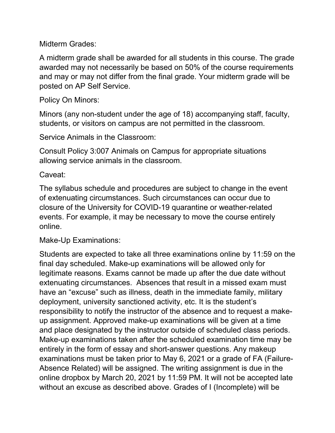Midterm Grades:

A midterm grade shall be awarded for all students in this course. The grade awarded may not necessarily be based on 50% of the course requirements and may or may not differ from the final grade. Your midterm grade will be posted on AP Self Service.

# Policy On Minors:

Minors (any non-student under the age of 18) accompanying staff, faculty, students, or visitors on campus are not permitted in the classroom.

Service Animals in the Classroom:

Consult Policy 3:007 Animals on Campus for appropriate situations allowing service animals in the classroom.

Caveat:

The syllabus schedule and procedures are subject to change in the event of extenuating circumstances. Such circumstances can occur due to closure of the University for COVID-19 quarantine or weather-related events. For example, it may be necessary to move the course entirely online.

Make-Up Examinations:

Students are expected to take all three examinations online by 11:59 on the final day scheduled. Make-up examinations will be allowed only for legitimate reasons. Exams cannot be made up after the due date without extenuating circumstances. Absences that result in a missed exam must have an "excuse" such as illness, death in the immediate family, military deployment, university sanctioned activity, etc. It is the student's responsibility to notify the instructor of the absence and to request a makeup assignment. Approved make-up examinations will be given at a time and place designated by the instructor outside of scheduled class periods. Make-up examinations taken after the scheduled examination time may be entirely in the form of essay and short-answer questions. Any makeup examinations must be taken prior to May 6, 2021 or a grade of FA (Failure-Absence Related) will be assigned. The writing assignment is due in the online dropbox by March 20, 2021 by 11:59 PM. It will not be accepted late without an excuse as described above. Grades of I (Incomplete) will be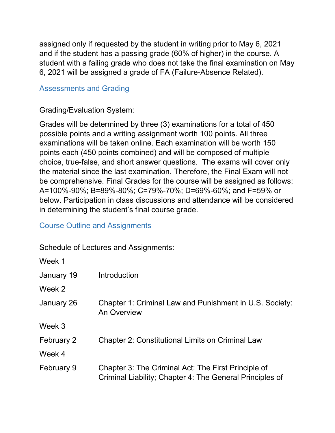assigned only if requested by the student in writing prior to May 6, 2021 and if the student has a passing grade (60% of higher) in the course. A student with a failing grade who does not take the final examination on May 6, 2021 will be assigned a grade of FA (Failure-Absence Related).

# Assessments and Grading

# Grading/Evaluation System:

Grades will be determined by three (3) examinations for a total of 450 possible points and a writing assignment worth 100 points. All three examinations will be taken online. Each examination will be worth 150 points each (450 points combined) and will be composed of multiple choice, true-false, and short answer questions. The exams will cover only the material since the last examination. Therefore, the Final Exam will not be comprehensive. Final Grades for the course will be assigned as follows: A=100%-90%; B=89%-80%; C=79%-70%; D=69%-60%; and F=59% or below. Participation in class discussions and attendance will be considered in determining the student's final course grade.

## Course Outline and Assignments

 $\overline{\mathbf{v}}$ 

Schedule of Lectures and Assignments:

| Week 1     |                                                                                                                 |
|------------|-----------------------------------------------------------------------------------------------------------------|
| January 19 | Introduction                                                                                                    |
| Week 2     |                                                                                                                 |
| January 26 | Chapter 1: Criminal Law and Punishment in U.S. Society:<br><b>An Overview</b>                                   |
| Week 3     |                                                                                                                 |
| February 2 | <b>Chapter 2: Constitutional Limits on Criminal Law</b>                                                         |
| Week 4     |                                                                                                                 |
| February 9 | Chapter 3: The Criminal Act: The First Principle of<br>Criminal Liability; Chapter 4: The General Principles of |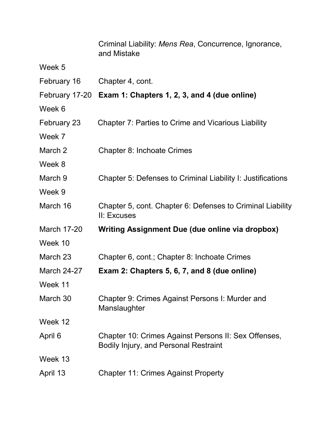|                    | Criminal Liability: Mens Rea, Concurrence, Ignorance,<br>and Mistake                                 |
|--------------------|------------------------------------------------------------------------------------------------------|
| Week 5             |                                                                                                      |
| February 16        | Chapter 4, cont.                                                                                     |
|                    | February 17-20 Exam 1: Chapters 1, 2, 3, and 4 (due online)                                          |
| Week 6             |                                                                                                      |
| February 23        | <b>Chapter 7: Parties to Crime and Vicarious Liability</b>                                           |
| Week 7             |                                                                                                      |
| March 2            | <b>Chapter 8: Inchoate Crimes</b>                                                                    |
| Week 8             |                                                                                                      |
| March 9            | Chapter 5: Defenses to Criminal Liability I: Justifications                                          |
| Week 9             |                                                                                                      |
| March 16           | Chapter 5, cont. Chapter 6: Defenses to Criminal Liability<br>II: Excuses                            |
| <b>March 17-20</b> | Writing Assignment Due (due online via dropbox)                                                      |
| Week 10            |                                                                                                      |
| March 23           | Chapter 6, cont.; Chapter 8: Inchoate Crimes                                                         |
| <b>March 24-27</b> | Exam 2: Chapters 5, 6, 7, and 8 (due online)                                                         |
| Week 11            |                                                                                                      |
| March 30           | Chapter 9: Crimes Against Persons I: Murder and<br>Manslaughter                                      |
| Week 12            |                                                                                                      |
| April 6            | Chapter 10: Crimes Against Persons II: Sex Offenses,<br><b>Bodily Injury, and Personal Restraint</b> |
| Week 13            |                                                                                                      |
| April 13           | <b>Chapter 11: Crimes Against Property</b>                                                           |